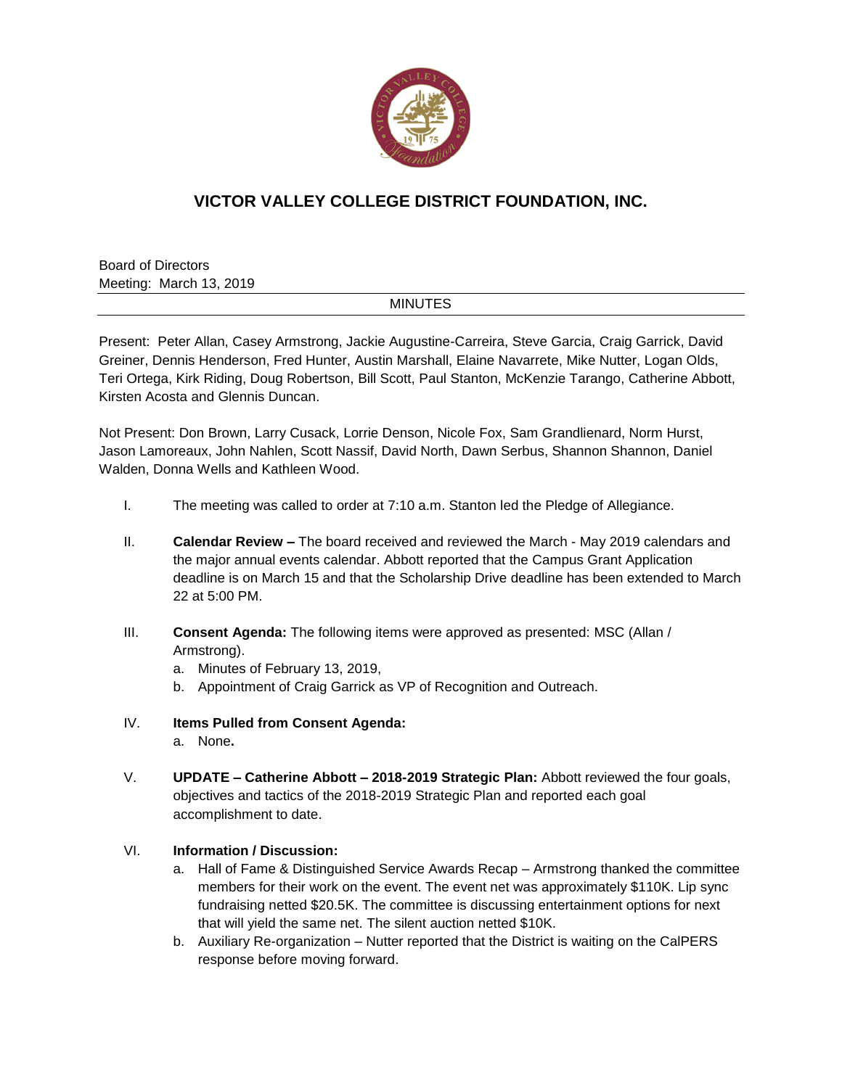

## **VICTOR VALLEY COLLEGE DISTRICT FOUNDATION, INC.**

Board of Directors Meeting: March 13, 2019

## MINUTES

Present: Peter Allan, Casey Armstrong, Jackie Augustine-Carreira, Steve Garcia, Craig Garrick, David Greiner, Dennis Henderson, Fred Hunter, Austin Marshall, Elaine Navarrete, Mike Nutter, Logan Olds, Teri Ortega, Kirk Riding, Doug Robertson, Bill Scott, Paul Stanton, McKenzie Tarango, Catherine Abbott, Kirsten Acosta and Glennis Duncan.

Not Present: Don Brown, Larry Cusack, Lorrie Denson, Nicole Fox, Sam Grandlienard, Norm Hurst, Jason Lamoreaux, John Nahlen, Scott Nassif, David North, Dawn Serbus, Shannon Shannon, Daniel Walden, Donna Wells and Kathleen Wood.

- I. The meeting was called to order at 7:10 a.m. Stanton led the Pledge of Allegiance.
- II. **Calendar Review –** The board received and reviewed the March May 2019 calendars and the major annual events calendar. Abbott reported that the Campus Grant Application deadline is on March 15 and that the Scholarship Drive deadline has been extended to March 22 at 5:00 PM.
- III. **Consent Agenda:** The following items were approved as presented: MSC (Allan / Armstrong).
	- a. Minutes of February 13, 2019,
	- b. Appointment of Craig Garrick as VP of Recognition and Outreach.
- IV. **Items Pulled from Consent Agenda:** a. None**.**
- V. **UPDATE – Catherine Abbott – 2018-2019 Strategic Plan:** Abbott reviewed the four goals, objectives and tactics of the 2018-2019 Strategic Plan and reported each goal accomplishment to date.

## VI. **Information / Discussion:**

- a. Hall of Fame & Distinguished Service Awards Recap Armstrong thanked the committee members for their work on the event. The event net was approximately \$110K. Lip sync fundraising netted \$20.5K. The committee is discussing entertainment options for next that will yield the same net. The silent auction netted \$10K.
- b. Auxiliary Re-organization Nutter reported that the District is waiting on the CalPERS response before moving forward.